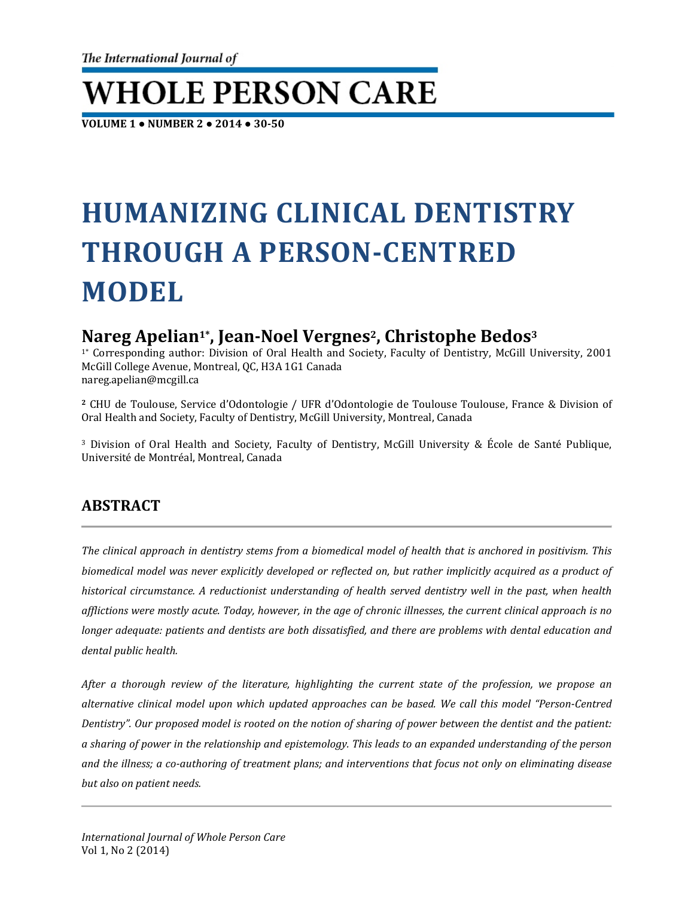# **WHOLE PERSON CARE**

**VOLUME 1 ● NUMBER 2 ● 2014 ● 30-50**

## **HUMANIZING CLINICAL DENTISTRY THROUGH A PERSON-CENTRED MODEL**

## **Nareg Apelian1\* , Jean-Noel Vergnes2 , Christophe Bedos3**

1\* Corresponding author: Division of Oral Health and Society, Faculty of Dentistry, McGill University, 2001 McGill College Avenue, Montreal, QC, H3A 1G1 Canada nareg.apelian@mcgill.ca

**<sup>2</sup>** CHU de Toulouse, Service d'Odontologie / UFR d'Odontologie de Toulouse Toulouse, France & Division of Oral Health and Society, Faculty of Dentistry, McGill University, Montreal, Canada

<sup>3</sup> Division of Oral Health and Society, Faculty of Dentistry, McGill University & École de Santé Publique, Université de Montréal, Montreal, Canada

## **ABSTRACT**

*The clinical approach in dentistry stems from a biomedical model of health that is anchored in positivism. This biomedical model was never explicitly developed or reflected on, but rather implicitly acquired as a product of historical circumstance. A reductionist understanding of health served dentistry well in the past, when health afflictions were mostly acute. Today, however, in the age of chronic illnesses, the current clinical approach is no longer adequate: patients and dentists are both dissatisfied, and there are problems with dental education and dental public health.*

*After a thorough review of the literature, highlighting the current state of the profession, we propose an alternative clinical model upon which updated approaches can be based. We call this model "Person-Centred Dentistry". Our proposed model is rooted on the notion of sharing of power between the dentist and the patient: a sharing of power in the relationship and epistemology. This leads to an expanded understanding of the person and the illness; a co-authoring of treatment plans; and interventions that focus not only on eliminating disease but also on patient needs.*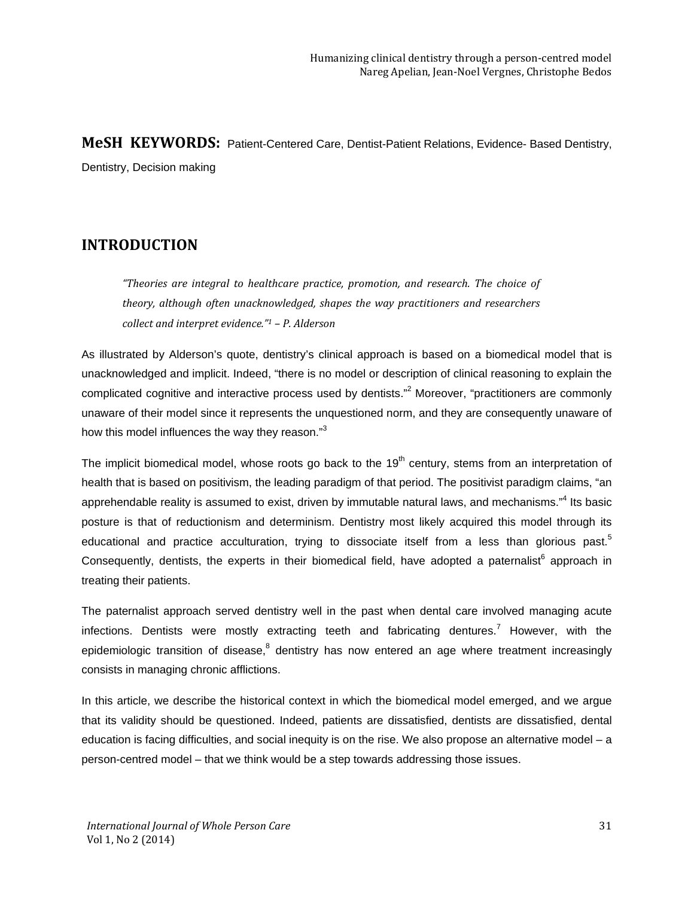**MeSH KEYWORDS:** Patient-Centered Care, Dentist-Patient Relations, Evidence- Based Dentistry, Dentistry, Decision making

## **INTRODUCTION**

*"Theories are integral to healthcare practice, promotion, and research. The choice of theory, although often unacknowledged, shapes the way practitioners and researchers collect and interpret evidence."1 – P. Alderson*

As illustrated by Alderson's quote, dentistry's clinical approach is based on a biomedical model that is unacknowledged and implicit. Indeed, "there is no model or description of clinical reasoning to explain the complicated cognitive and interactive process used by dentists."<sup>2</sup> Moreover, "practitioners are commonly unaware of their model since it represents the unquestioned norm, and they are consequently unaware of how this model influences the way they reason."<sup>3</sup>

The implicit biomedical model, whose roots go back to the 19<sup>th</sup> century, stems from an interpretation of health that is based on positivism, the leading paradigm of that period. The positivist paradigm claims, "an apprehendable reality is assumed to exist, driven by immutable natural laws, and mechanisms."<sup>4</sup> Its basic posture is that of reductionism and determinism. Dentistry most likely acquired this model through its educational and practice acculturation, trying to dissociate itself from a less than glorious past.<sup>5</sup> Consequently, dentists, the experts in their biomedical field, have adopted a paternalist<sup>6</sup> approach in treating their patients.

The paternalist approach served dentistry well in the past when dental care involved managing acute infections. Dentists were mostly extracting teeth and fabricating dentures.<sup>7</sup> However, with the epidemiologic transition of disease, $8$  dentistry has now entered an age where treatment increasingly consists in managing chronic afflictions.

In this article, we describe the historical context in which the biomedical model emerged, and we argue that its validity should be questioned. Indeed, patients are dissatisfied, dentists are dissatisfied, dental education is facing difficulties, and social inequity is on the rise. We also propose an alternative model – a person-centred model – that we think would be a step towards addressing those issues.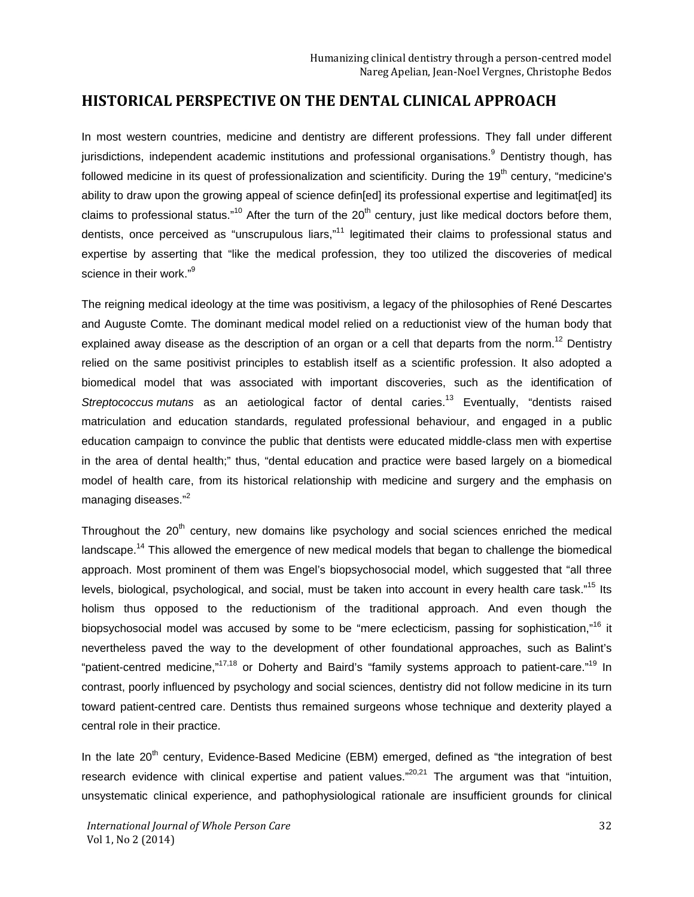#### **HISTORICAL PERSPECTIVE ON THE DENTAL CLINICAL APPROACH**

In most western countries, medicine and dentistry are different professions. They fall under different jurisdictions, independent academic institutions and professional organisations.<sup>9</sup> Dentistry though, has followed medicine in its quest of professionalization and scientificity. During the 19<sup>th</sup> century, "medicine's ability to draw upon the growing appeal of science defin[ed] its professional expertise and legitimat[ed] its claims to professional status."<sup>10</sup> After the turn of the  $20<sup>th</sup>$  century, just like medical doctors before them, dentists, once perceived as "unscrupulous liars,"<sup>11</sup> legitimated their claims to professional status and expertise by asserting that "like the medical profession, they too utilized the discoveries of medical science in their work."<sup>9</sup>

The reigning medical ideology at the time was positivism, a legacy of the philosophies of René Descartes and Auguste Comte. The dominant medical model relied on a reductionist view of the human body that explained away disease as the description of an organ or a cell that departs from the norm.<sup>12</sup> Dentistry relied on the same positivist principles to establish itself as a scientific profession. It also adopted a biomedical model that was associated with important discoveries, such as the identification of *Streptococcus mutans* as an aetiological factor of dental caries.<sup>13</sup> Eventually, "dentists raised matriculation and education standards, regulated professional behaviour, and engaged in a public education campaign to convince the public that dentists were educated middle-class men with expertise in the area of dental health;" thus, "dental education and practice were based largely on a biomedical model of health care, from its historical relationship with medicine and surgery and the emphasis on managing diseases."<sup>2</sup>

Throughout the  $20<sup>th</sup>$  century, new domains like psychology and social sciences enriched the medical landscape.<sup>14</sup> This allowed the emergence of new medical models that began to challenge the biomedical approach. Most prominent of them was Engel's biopsychosocial model, which suggested that "all three levels, biological, psychological, and social, must be taken into account in every health care task."<sup>15</sup> Its holism thus opposed to the reductionism of the traditional approach. And even though the biopsychosocial model was accused by some to be "mere eclecticism, passing for sophistication,"<sup>16</sup> it nevertheless paved the way to the development of other foundational approaches, such as Balint's "patient-centred medicine,"<sup>17,18</sup> or Doherty and Baird's "family systems approach to patient-care."<sup>19</sup> In contrast, poorly influenced by psychology and social sciences, dentistry did not follow medicine in its turn toward patient-centred care. Dentists thus remained surgeons whose technique and dexterity played a central role in their practice.

In the late 20<sup>th</sup> century, Evidence-Based Medicine (EBM) emerged, defined as "the integration of best research evidence with clinical expertise and patient values."<sup>20,21</sup> The argument was that "intuition, unsystematic clinical experience, and pathophysiological rationale are insufficient grounds for clinical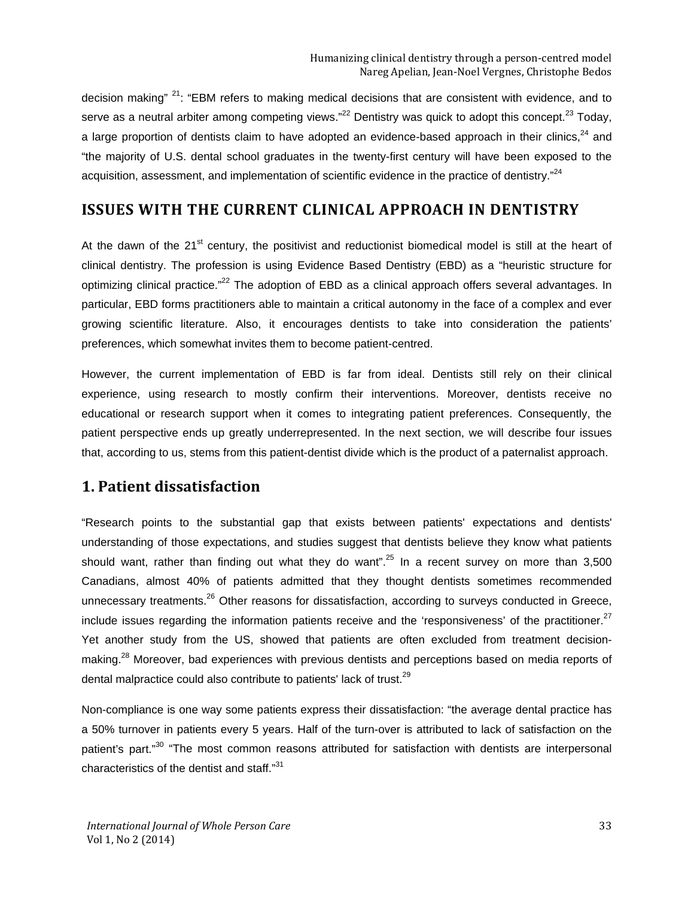decision making"  $21$ : "EBM refers to making medical decisions that are consistent with evidence, and to serve as a neutral arbiter among competing views."<sup>22</sup> Dentistry was quick to adopt this concept.<sup>23</sup> Today, a large proportion of dentists claim to have adopted an evidence-based approach in their clinics, $^{24}$  and "the majority of U.S. dental school graduates in the twenty-first century will have been exposed to the acquisition, assessment, and implementation of scientific evidence in the practice of dentistry."<sup>24</sup>

## **ISSUES WITH THE CURRENT CLINICAL APPROACH IN DENTISTRY**

At the dawn of the 21<sup>st</sup> century, the positivist and reductionist biomedical model is still at the heart of clinical dentistry. The profession is using Evidence Based Dentistry (EBD) as a "heuristic structure for optimizing clinical practice."<sup>22</sup> The adoption of EBD as a clinical approach offers several advantages. In particular, EBD forms practitioners able to maintain a critical autonomy in the face of a complex and ever growing scientific literature. Also, it encourages dentists to take into consideration the patients' preferences, which somewhat invites them to become patient-centred.

However, the current implementation of EBD is far from ideal. Dentists still rely on their clinical experience, using research to mostly confirm their interventions. Moreover, dentists receive no educational or research support when it comes to integrating patient preferences. Consequently, the patient perspective ends up greatly underrepresented. In the next section, we will describe four issues that, according to us, stems from this patient-dentist divide which is the product of a paternalist approach.

## **1. Patient dissatisfaction**

"Research points to the substantial gap that exists between patients' expectations and dentists' understanding of those expectations, and studies suggest that dentists believe they know what patients should want, rather than finding out what they do want".<sup>25</sup> In a recent survey on more than 3,500 Canadians, almost 40% of patients admitted that they thought dentists sometimes recommended unnecessary treatments.<sup>26</sup> Other reasons for dissatisfaction, according to surveys conducted in Greece, include issues regarding the information patients receive and the 'responsiveness' of the practitioner. $27$ Yet another study from the US, showed that patients are often excluded from treatment decisionmaking.<sup>28</sup> Moreover, bad experiences with previous dentists and perceptions based on media reports of dental malpractice could also contribute to patients' lack of trust.<sup>29</sup>

Non-compliance is one way some patients express their dissatisfaction: "the average dental practice has a 50% turnover in patients every 5 years. Half of the turn-over is attributed to lack of satisfaction on the patient's part."<sup>30</sup> "The most common reasons attributed for satisfaction with dentists are interpersonal characteristics of the dentist and staff."<sup>31</sup>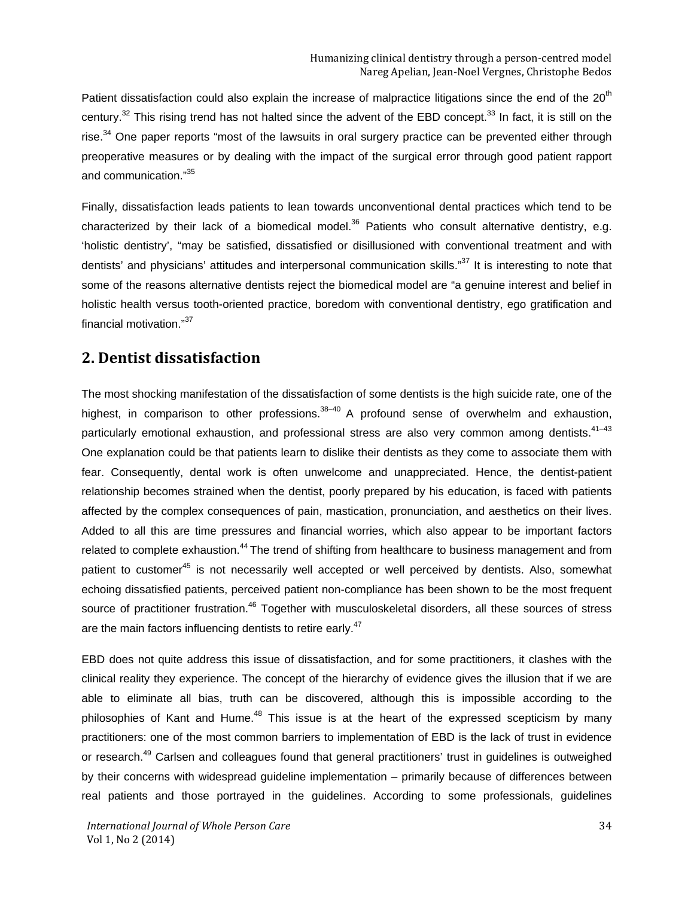Patient dissatisfaction could also explain the increase of malpractice litigations since the end of the 20<sup>th</sup> century.<sup>32</sup> This rising trend has not halted since the advent of the EBD concept.<sup>33</sup> In fact, it is still on the rise.<sup>34</sup> One paper reports "most of the lawsuits in oral surgery practice can be prevented either through preoperative measures or by dealing with the impact of the surgical error through good patient rapport and communication."<sup>35</sup>

Finally, dissatisfaction leads patients to lean towards unconventional dental practices which tend to be characterized by their lack of a biomedical model.<sup>36</sup> Patients who consult alternative dentistry, e.g. 'holistic dentistry', "may be satisfied, dissatisfied or disillusioned with conventional treatment and with dentists' and physicians' attitudes and interpersonal communication skills."<sup>37</sup> It is interesting to note that some of the reasons alternative dentists reject the biomedical model are "a genuine interest and belief in holistic health versus tooth-oriented practice, boredom with conventional dentistry, ego gratification and financial motivation."<sup>37</sup>

#### **2. Dentist dissatisfaction**

The most shocking manifestation of the dissatisfaction of some dentists is the high suicide rate, one of the highest, in comparison to other professions. $38-40$  A profound sense of overwhelm and exhaustion, particularly emotional exhaustion, and professional stress are also very common among dentists.<sup>41-43</sup> One explanation could be that patients learn to dislike their dentists as they come to associate them with fear. Consequently, dental work is often unwelcome and unappreciated. Hence, the dentist-patient relationship becomes strained when the dentist, poorly prepared by his education, is faced with patients affected by the complex consequences of pain, mastication, pronunciation, and aesthetics on their lives. Added to all this are time pressures and financial worries, which also appear to be important factors related to complete exhaustion.<sup>44</sup> The trend of shifting from healthcare to business management and from patient to customer<sup>45</sup> is not necessarily well accepted or well perceived by dentists. Also, somewhat echoing dissatisfied patients, perceived patient non-compliance has been shown to be the most frequent source of practitioner frustration.<sup>46</sup> Together with musculoskeletal disorders, all these sources of stress are the main factors influencing dentists to retire early.<sup>47</sup>

EBD does not quite address this issue of dissatisfaction, and for some practitioners, it clashes with the clinical reality they experience. The concept of the hierarchy of evidence gives the illusion that if we are able to eliminate all bias, truth can be discovered, although this is impossible according to the philosophies of Kant and Hume.<sup>48</sup> This issue is at the heart of the expressed scepticism by many practitioners: one of the most common barriers to implementation of EBD is the lack of trust in evidence or research.<sup>49</sup> Carlsen and colleagues found that general practitioners' trust in guidelines is outweighed by their concerns with widespread guideline implementation – primarily because of differences between real patients and those portrayed in the guidelines. According to some professionals, guidelines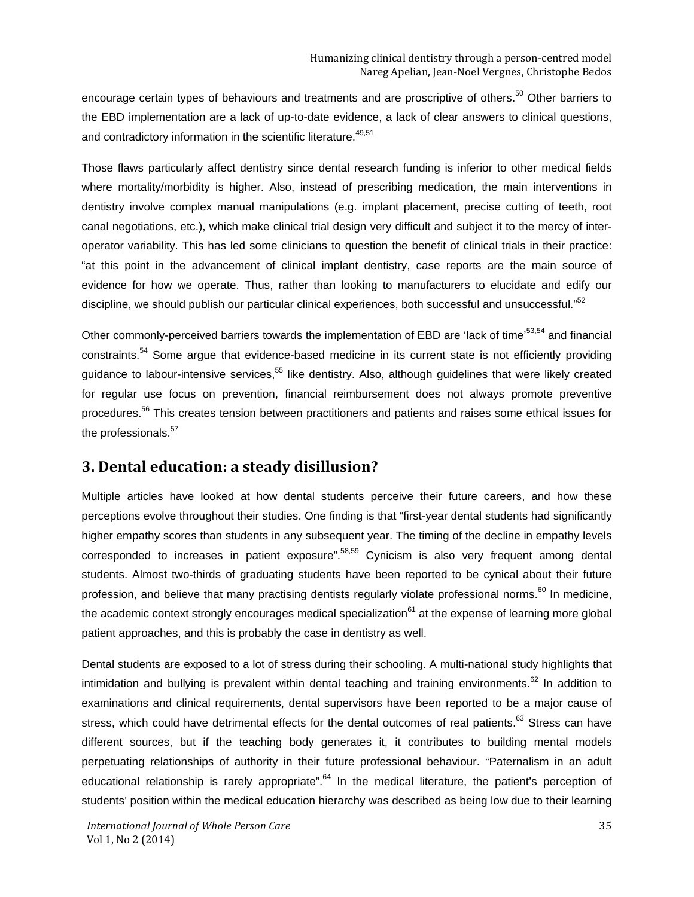encourage certain types of behaviours and treatments and are proscriptive of others.<sup>50</sup> Other barriers to the EBD implementation are a lack of up-to-date evidence, a lack of clear answers to clinical questions, and contradictory information in the scientific literature.<sup>49,51</sup>

Those flaws particularly affect dentistry since dental research funding is inferior to other medical fields where mortality/morbidity is higher. Also, instead of prescribing medication, the main interventions in dentistry involve complex manual manipulations (e.g. implant placement, precise cutting of teeth, root canal negotiations, etc.), which make clinical trial design very difficult and subject it to the mercy of interoperator variability. This has led some clinicians to question the benefit of clinical trials in their practice: "at this point in the advancement of clinical implant dentistry, case reports are the main source of evidence for how we operate. Thus, rather than looking to manufacturers to elucidate and edify our discipline, we should publish our particular clinical experiences, both successful and unsuccessful."<sup>52</sup>

Other commonly-perceived barriers towards the implementation of EBD are 'lack of time'<sup>53,54</sup> and financial constraints.<sup>54</sup> Some argue that evidence-based medicine in its current state is not efficiently providing guidance to labour-intensive services.<sup>55</sup> like dentistry. Also, although guidelines that were likely created for regular use focus on prevention, financial reimbursement does not always promote preventive procedures.<sup>56</sup> This creates tension between practitioners and patients and raises some ethical issues for the professionals.<sup>57</sup>

#### **3. Dental education: a steady disillusion?**

Multiple articles have looked at how dental students perceive their future careers, and how these perceptions evolve throughout their studies. One finding is that "first-year dental students had significantly higher empathy scores than students in any subsequent year. The timing of the decline in empathy levels corresponded to increases in patient exposure".<sup>58,59</sup> Cynicism is also very frequent among dental students. Almost two-thirds of graduating students have been reported to be cynical about their future profession, and believe that many practising dentists regularly violate professional norms.<sup>60</sup> In medicine, the academic context strongly encourages medical specialization<sup>61</sup> at the expense of learning more global patient approaches, and this is probably the case in dentistry as well.

Dental students are exposed to a lot of stress during their schooling. A multi-national study highlights that intimidation and bullying is prevalent within dental teaching and training environments.<sup>62</sup> In addition to examinations and clinical requirements, dental supervisors have been reported to be a major cause of stress, which could have detrimental effects for the dental outcomes of real patients.<sup>63</sup> Stress can have different sources, but if the teaching body generates it, it contributes to building mental models perpetuating relationships of authority in their future professional behaviour. "Paternalism in an adult educational relationship is rarely appropriate".<sup>64</sup> In the medical literature, the patient's perception of students' position within the medical education hierarchy was described as being low due to their learning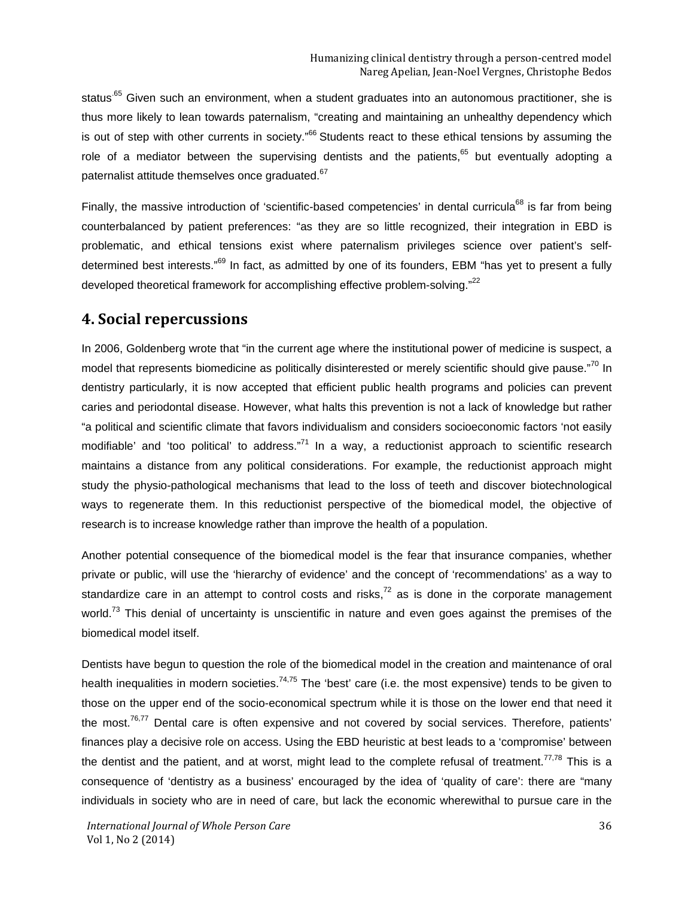status<sup>.65</sup> Given such an environment, when a student graduates into an autonomous practitioner, she is thus more likely to lean towards paternalism, "creating and maintaining an unhealthy dependency which is out of step with other currents in society."<sup>66</sup> Students react to these ethical tensions by assuming the role of a mediator between the supervising dentists and the patients, $65$  but eventually adopting a paternalist attitude themselves once graduated.<sup>67</sup>

Finally, the massive introduction of 'scientific-based competencies' in dental curricula<sup>68</sup> is far from being counterbalanced by patient preferences: "as they are so little recognized, their integration in EBD is problematic, and ethical tensions exist where paternalism privileges science over patient's selfdetermined best interests."69 In fact, as admitted by one of its founders, EBM "has yet to present a fully developed theoretical framework for accomplishing effective problem-solving."<sup>22</sup>

#### **4. Social repercussions**

In 2006, Goldenberg wrote that "in the current age where the institutional power of medicine is suspect, a model that represents biomedicine as politically disinterested or merely scientific should give pause."<sup>70</sup> In dentistry particularly, it is now accepted that efficient public health programs and policies can prevent caries and periodontal disease. However, what halts this prevention is not a lack of knowledge but rather "a political and scientific climate that favors individualism and considers socioeconomic factors 'not easily modifiable' and 'too political' to address. $n^7$  In a way, a reductionist approach to scientific research maintains a distance from any political considerations. For example, the reductionist approach might study the physio-pathological mechanisms that lead to the loss of teeth and discover biotechnological ways to regenerate them. In this reductionist perspective of the biomedical model, the objective of research is to increase knowledge rather than improve the health of a population.

Another potential consequence of the biomedical model is the fear that insurance companies, whether private or public, will use the 'hierarchy of evidence' and the concept of 'recommendations' as a way to standardize care in an attempt to control costs and risks,<sup>72</sup> as is done in the corporate management world.<sup>73</sup> This denial of uncertainty is unscientific in nature and even goes against the premises of the biomedical model itself.

Dentists have begun to question the role of the biomedical model in the creation and maintenance of oral health inequalities in modern societies.<sup>74,75</sup> The 'best' care (i.e. the most expensive) tends to be given to those on the upper end of the socio-economical spectrum while it is those on the lower end that need it the most. $76,77$  Dental care is often expensive and not covered by social services. Therefore, patients' finances play a decisive role on access. Using the EBD heuristic at best leads to a 'compromise' between the dentist and the patient, and at worst, might lead to the complete refusal of treatment.<sup>77,78</sup> This is a consequence of 'dentistry as a business' encouraged by the idea of 'quality of care': there are "many individuals in society who are in need of care, but lack the economic wherewithal to pursue care in the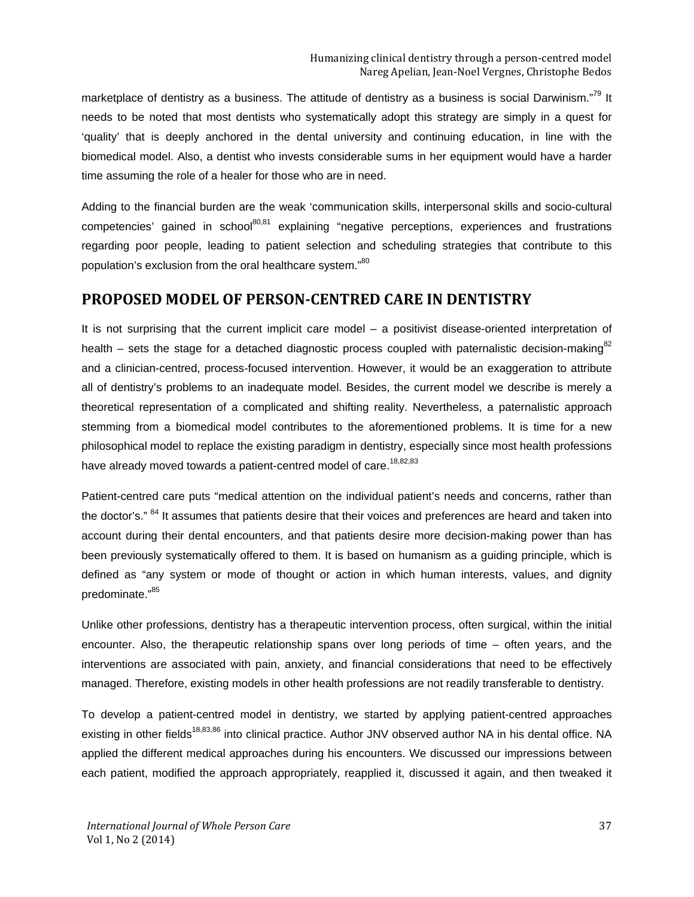marketplace of dentistry as a business. The attitude of dentistry as a business is social Darwinism."<sup>79</sup> It needs to be noted that most dentists who systematically adopt this strategy are simply in a quest for 'quality' that is deeply anchored in the dental university and continuing education, in line with the biomedical model. Also, a dentist who invests considerable sums in her equipment would have a harder time assuming the role of a healer for those who are in need.

Adding to the financial burden are the weak 'communication skills, interpersonal skills and socio-cultural competencies' gained in school<sup>80,81</sup> explaining "negative perceptions, experiences and frustrations regarding poor people, leading to patient selection and scheduling strategies that contribute to this population's exclusion from the oral healthcare system."80

#### **PROPOSED MODEL OF PERSON-CENTRED CARE IN DENTISTRY**

It is not surprising that the current implicit care model – a positivist disease-oriented interpretation of health – sets the stage for a detached diagnostic process coupled with paternalistic decision-making $^{82}$ and a clinician-centred, process-focused intervention. However, it would be an exaggeration to attribute all of dentistry's problems to an inadequate model. Besides, the current model we describe is merely a theoretical representation of a complicated and shifting reality. Nevertheless, a paternalistic approach stemming from a biomedical model contributes to the aforementioned problems. It is time for a new philosophical model to replace the existing paradigm in dentistry, especially since most health professions have already moved towards a patient-centred model of care.<sup>18,82,83</sup>

Patient-centred care puts "medical attention on the individual patient's needs and concerns, rather than the doctor's." <sup>84</sup> It assumes that patients desire that their voices and preferences are heard and taken into account during their dental encounters, and that patients desire more decision-making power than has been previously systematically offered to them. It is based on humanism as a guiding principle, which is defined as "any system or mode of thought or action in which human interests, values, and dignity predominate."<sup>85</sup>

Unlike other professions, dentistry has a therapeutic intervention process, often surgical, within the initial encounter. Also, the therapeutic relationship spans over long periods of time – often years, and the interventions are associated with pain, anxiety, and financial considerations that need to be effectively managed. Therefore, existing models in other health professions are not readily transferable to dentistry.

To develop a patient-centred model in dentistry, we started by applying patient-centred approaches existing in other fields<sup>18,83,86</sup> into clinical practice. Author JNV observed author NA in his dental office. NA applied the different medical approaches during his encounters. We discussed our impressions between each patient, modified the approach appropriately, reapplied it, discussed it again, and then tweaked it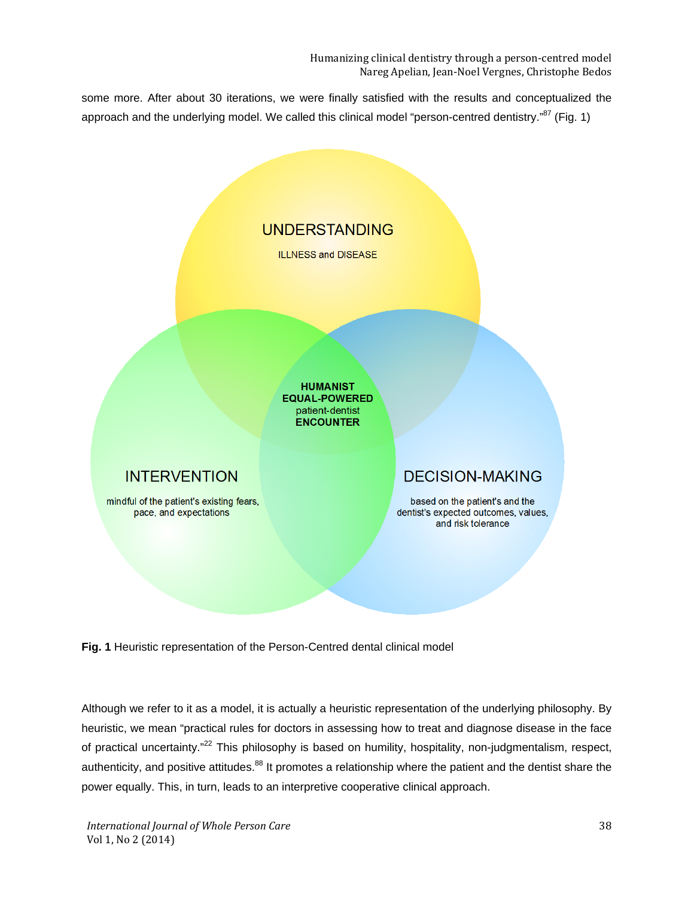Humanizing clinical dentistry through a person-centred model Nareg Apelian, Jean-Noel Vergnes, Christophe Bedos

some more. After about 30 iterations, we were finally satisfied with the results and conceptualized the approach and the underlying model. We called this clinical model "person-centred dentistry."<sup>87</sup> (Fig. 1)



**Fig. 1** Heuristic representation of the Person-Centred dental clinical model

Although we refer to it as a model, it is actually a heuristic representation of the underlying philosophy. By heuristic, we mean "practical rules for doctors in assessing how to treat and diagnose disease in the face of practical uncertainty."<sup>22</sup> This philosophy is based on humility, hospitality, non-judgmentalism, respect, authenticity, and positive attitudes.<sup>88</sup> It promotes a relationship where the patient and the dentist share the power equally. This, in turn, leads to an interpretive cooperative clinical approach.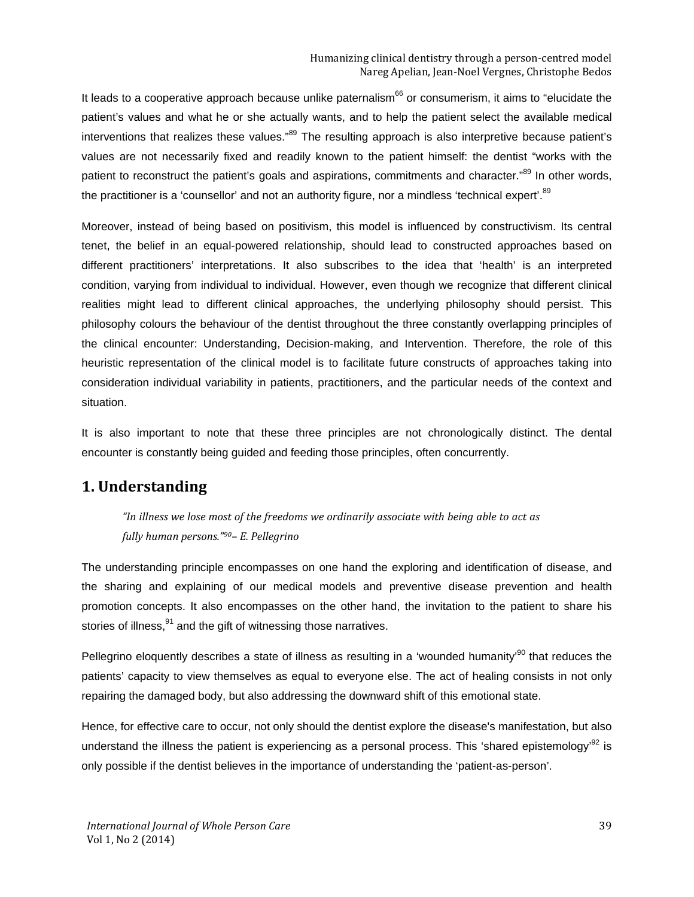It leads to a cooperative approach because unlike paternalism<sup>66</sup> or consumerism, it aims to "elucidate the patient's values and what he or she actually wants, and to help the patient select the available medical interventions that realizes these values."<sup>89</sup> The resulting approach is also interpretive because patient's values are not necessarily fixed and readily known to the patient himself: the dentist "works with the patient to reconstruct the patient's goals and aspirations, commitments and character."<sup>89</sup> In other words, the practitioner is a 'counsellor' and not an authority figure, nor a mindless 'technical expert'.<sup>89</sup>

Moreover, instead of being based on positivism, this model is influenced by constructivism. Its central tenet, the belief in an equal-powered relationship, should lead to constructed approaches based on different practitioners' interpretations. It also subscribes to the idea that 'health' is an interpreted condition, varying from individual to individual. However, even though we recognize that different clinical realities might lead to different clinical approaches, the underlying philosophy should persist. This philosophy colours the behaviour of the dentist throughout the three constantly overlapping principles of the clinical encounter: Understanding, Decision-making, and Intervention. Therefore, the role of this heuristic representation of the clinical model is to facilitate future constructs of approaches taking into consideration individual variability in patients, practitioners, and the particular needs of the context and situation.

It is also important to note that these three principles are not chronologically distinct. The dental encounter is constantly being guided and feeding those principles, often concurrently.

## **1. Understanding**

*"In illness we lose most of the freedoms we ordinarily associate with being able to act as fully human persons."90– E. Pellegrino*

The understanding principle encompasses on one hand the exploring and identification of disease, and the sharing and explaining of our medical models and preventive disease prevention and health promotion concepts. It also encompasses on the other hand, the invitation to the patient to share his stories of illness, $91$  and the gift of witnessing those narratives.

Pellegrino eloquently describes a state of illness as resulting in a 'wounded humanity<sup>'90</sup> that reduces the patients' capacity to view themselves as equal to everyone else. The act of healing consists in not only repairing the damaged body, but also addressing the downward shift of this emotional state.

Hence, for effective care to occur, not only should the dentist explore the disease's manifestation, but also understand the illness the patient is experiencing as a personal process. This 'shared epistemology'<sup>92</sup> is only possible if the dentist believes in the importance of understanding the 'patient-as-person'.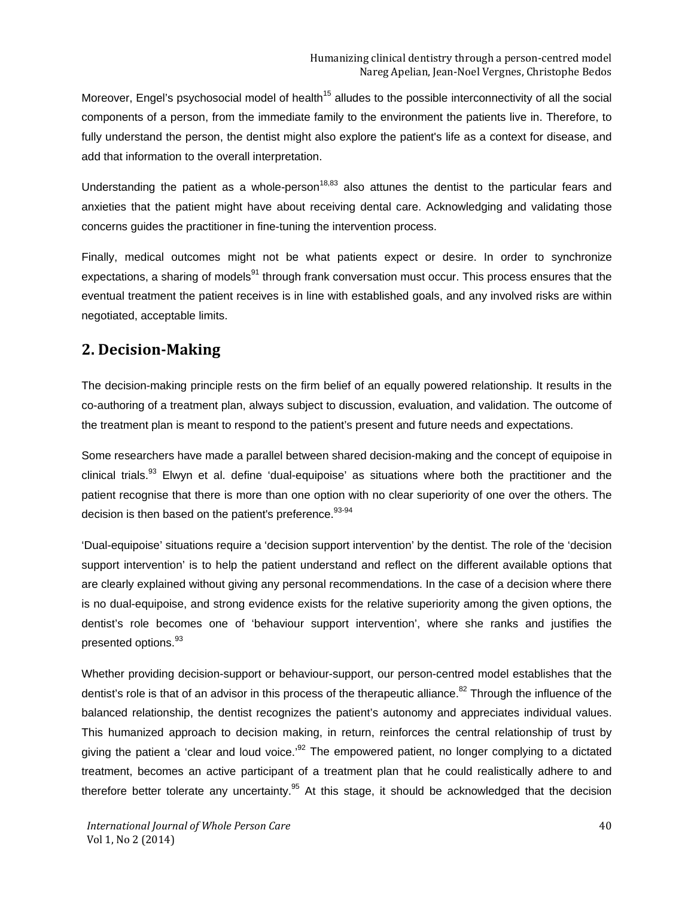Moreover, Engel's psychosocial model of health<sup>15</sup> alludes to the possible interconnectivity of all the social components of a person, from the immediate family to the environment the patients live in. Therefore, to fully understand the person, the dentist might also explore the patient's life as a context for disease, and add that information to the overall interpretation.

Understanding the patient as a whole-person<sup>18,83</sup> also attunes the dentist to the particular fears and anxieties that the patient might have about receiving dental care. Acknowledging and validating those concerns guides the practitioner in fine-tuning the intervention process.

Finally, medical outcomes might not be what patients expect or desire. In order to synchronize expectations, a sharing of models<sup>91</sup> through frank conversation must occur. This process ensures that the eventual treatment the patient receives is in line with established goals, and any involved risks are within negotiated, acceptable limits.

## **2. Decision-Making**

The decision-making principle rests on the firm belief of an equally powered relationship. It results in the co-authoring of a treatment plan, always subject to discussion, evaluation, and validation. The outcome of the treatment plan is meant to respond to the patient's present and future needs and expectations.

Some researchers have made a parallel between shared decision-making and the concept of equipoise in clinical trials.<sup>93</sup> Elwyn et al. define 'dual-equipoise' as situations where both the practitioner and the patient recognise that there is more than one option with no clear superiority of one over the others. The decision is then based on the patient's preference.  $93-94$ 

'Dual-equipoise' situations require a 'decision support intervention' by the dentist. The role of the 'decision support intervention' is to help the patient understand and reflect on the different available options that are clearly explained without giving any personal recommendations. In the case of a decision where there is no dual-equipoise, and strong evidence exists for the relative superiority among the given options, the dentist's role becomes one of 'behaviour support intervention', where she ranks and justifies the presented options.<sup>93</sup>

Whether providing decision-support or behaviour-support, our person-centred model establishes that the dentist's role is that of an advisor in this process of the therapeutic alliance.<sup>82</sup> Through the influence of the balanced relationship, the dentist recognizes the patient's autonomy and appreciates individual values. This humanized approach to decision making, in return, reinforces the central relationship of trust by giving the patient a 'clear and loud voice.<sup>92</sup> The empowered patient, no longer complying to a dictated treatment, becomes an active participant of a treatment plan that he could realistically adhere to and therefore better tolerate any uncertainty. $95$  At this stage, it should be acknowledged that the decision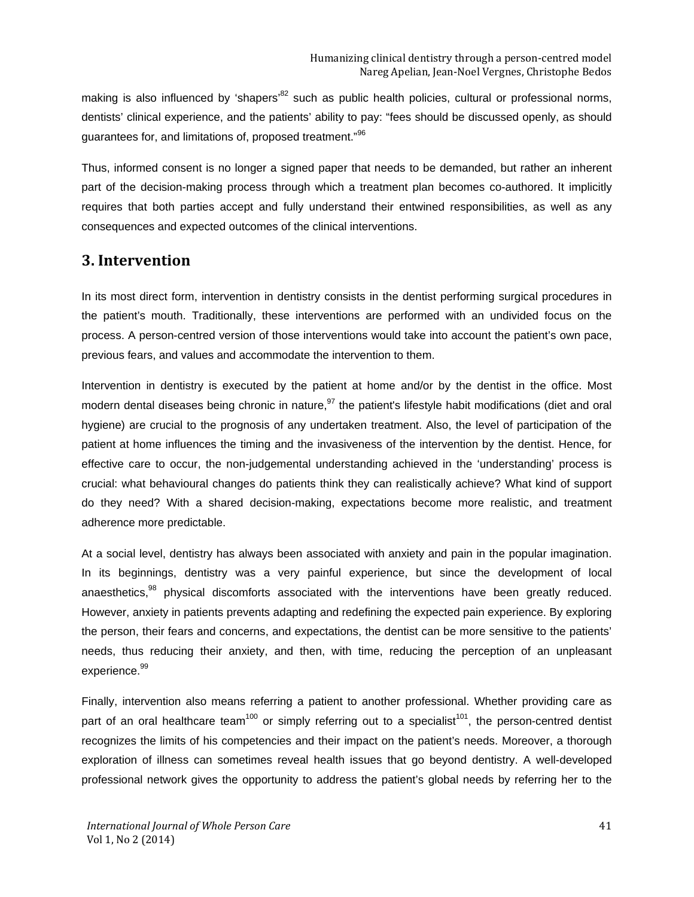making is also influenced by 'shapers<sup>82</sup> such as public health policies, cultural or professional norms, dentists' clinical experience, and the patients' ability to pay: "fees should be discussed openly, as should guarantees for, and limitations of, proposed treatment."<sup>96</sup>

Thus, informed consent is no longer a signed paper that needs to be demanded, but rather an inherent part of the decision-making process through which a treatment plan becomes co-authored. It implicitly requires that both parties accept and fully understand their entwined responsibilities, as well as any consequences and expected outcomes of the clinical interventions.

## **3. Intervention**

In its most direct form, intervention in dentistry consists in the dentist performing surgical procedures in the patient's mouth. Traditionally, these interventions are performed with an undivided focus on the process. A person-centred version of those interventions would take into account the patient's own pace, previous fears, and values and accommodate the intervention to them.

Intervention in dentistry is executed by the patient at home and/or by the dentist in the office. Most modern dental diseases being chronic in nature, <sup>97</sup> the patient's lifestyle habit modifications (diet and oral hygiene) are crucial to the prognosis of any undertaken treatment. Also, the level of participation of the patient at home influences the timing and the invasiveness of the intervention by the dentist. Hence, for effective care to occur, the non-judgemental understanding achieved in the 'understanding' process is crucial: what behavioural changes do patients think they can realistically achieve? What kind of support do they need? With a shared decision-making, expectations become more realistic, and treatment adherence more predictable.

At a social level, dentistry has always been associated with anxiety and pain in the popular imagination. In its beginnings, dentistry was a very painful experience, but since the development of local anaesthetics,<sup>98</sup> physical discomforts associated with the interventions have been greatly reduced. However, anxiety in patients prevents adapting and redefining the expected pain experience. By exploring the person, their fears and concerns, and expectations, the dentist can be more sensitive to the patients' needs, thus reducing their anxiety, and then, with time, reducing the perception of an unpleasant experience. 99

Finally, intervention also means referring a patient to another professional. Whether providing care as part of an oral healthcare team<sup>100</sup> or simply referring out to a specialist<sup>101</sup>, the person-centred dentist recognizes the limits of his competencies and their impact on the patient's needs. Moreover, a thorough exploration of illness can sometimes reveal health issues that go beyond dentistry. A well-developed professional network gives the opportunity to address the patient's global needs by referring her to the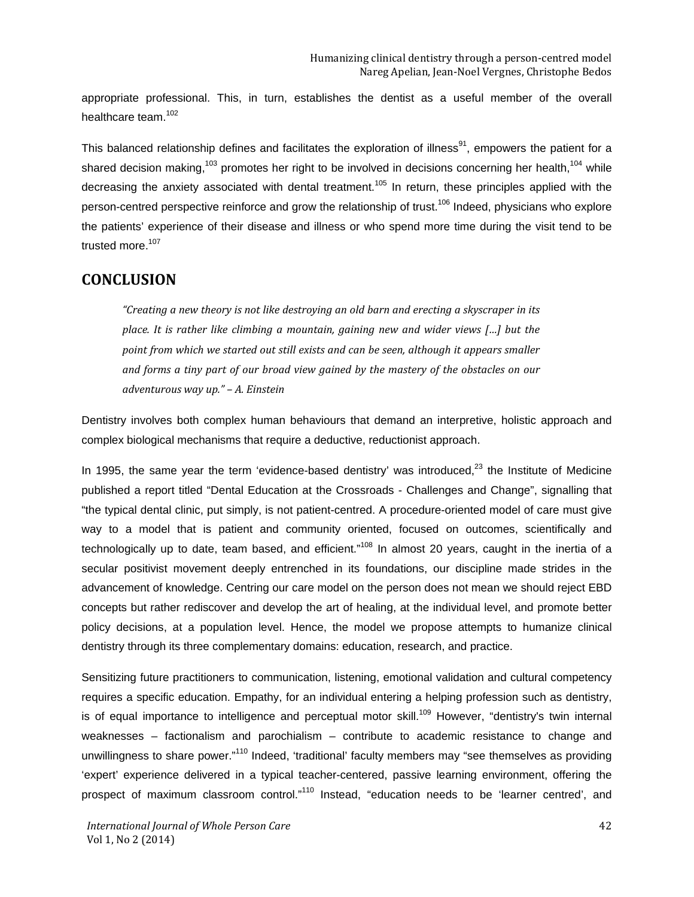appropriate professional. This, in turn, establishes the dentist as a useful member of the overall healthcare team.<sup>102</sup>

This balanced relationship defines and facilitates the exploration of illness<sup>91</sup>, empowers the patient for a shared decision making,<sup>103</sup> promotes her right to be involved in decisions concerning her health,<sup>104</sup> while decreasing the anxiety associated with dental treatment.<sup>105</sup> In return, these principles applied with the person-centred perspective reinforce and grow the relationship of trust.<sup>106</sup> Indeed, physicians who explore the patients' experience of their disease and illness or who spend more time during the visit tend to be trusted more.<sup>107</sup>

## **CONCLUSION**

*"Creating a new theory is not like destroying an old barn and erecting a skyscraper in its place. It is rather like climbing a mountain, gaining new and wider views […] but the point from which we started out still exists and can be seen, although it appears smaller and forms a tiny part of our broad view gained by the mastery of the obstacles on our adventurous way up." – A. Einstein*

Dentistry involves both complex human behaviours that demand an interpretive, holistic approach and complex biological mechanisms that require a deductive, reductionist approach.

In 1995, the same year the term 'evidence-based dentistry' was introduced,<sup>23</sup> the Institute of Medicine published a report titled "Dental Education at the Crossroads - Challenges and Change", signalling that "the typical dental clinic, put simply, is not patient-centred. A procedure-oriented model of care must give way to a model that is patient and community oriented, focused on outcomes, scientifically and technologically up to date, team based, and efficient."<sup>108</sup> In almost 20 years, caught in the inertia of a secular positivist movement deeply entrenched in its foundations, our discipline made strides in the advancement of knowledge. Centring our care model on the person does not mean we should reject EBD concepts but rather rediscover and develop the art of healing, at the individual level, and promote better policy decisions, at a population level. Hence, the model we propose attempts to humanize clinical dentistry through its three complementary domains: education, research, and practice.

Sensitizing future practitioners to communication, listening, emotional validation and cultural competency requires a specific education. Empathy, for an individual entering a helping profession such as dentistry, is of equal importance to intelligence and perceptual motor skill.<sup>109</sup> However, "dentistry's twin internal weaknesses – factionalism and parochialism – contribute to academic resistance to change and unwillingness to share power."<sup>110</sup> Indeed, 'traditional' faculty members may "see themselves as providing 'expert' experience delivered in a typical teacher-centered, passive learning environment, offering the prospect of maximum classroom control."<sup>110</sup> Instead, "education needs to be 'learner centred', and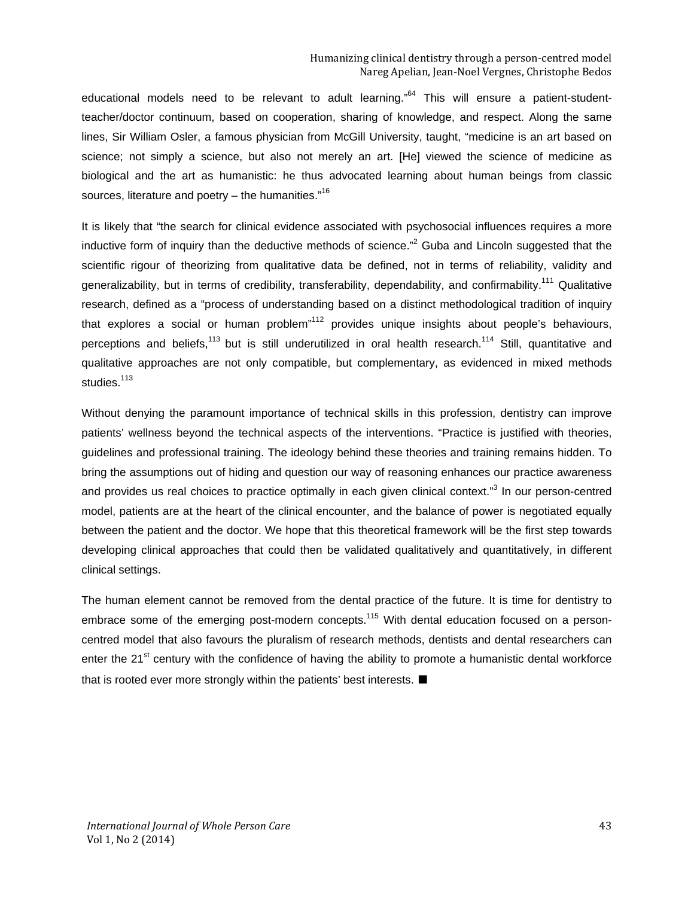educational models need to be relevant to adult learning.<sup> $64$ </sup> This will ensure a patient-studentteacher/doctor continuum, based on cooperation, sharing of knowledge, and respect. Along the same lines, Sir William Osler, a famous physician from McGill University, taught, "medicine is an art based on science; not simply a science, but also not merely an art. [He] viewed the science of medicine as biological and the art as humanistic: he thus advocated learning about human beings from classic sources, literature and poetry  $-$  the humanities."<sup>16</sup>

It is likely that "the search for clinical evidence associated with psychosocial influences requires a more inductive form of inquiry than the deductive methods of science."<sup>2</sup> Guba and Lincoln suggested that the scientific rigour of theorizing from qualitative data be defined, not in terms of reliability, validity and generalizability, but in terms of credibility, transferability, dependability, and confirmability.<sup>111</sup> Qualitative research, defined as a "process of understanding based on a distinct methodological tradition of inquiry that explores a social or human problem<sup>"112</sup> provides unique insights about people's behaviours, perceptions and beliefs,<sup>113</sup> but is still underutilized in oral health research.<sup>114</sup> Still, quantitative and qualitative approaches are not only compatible, but complementary, as evidenced in mixed methods studies.<sup>113</sup>

Without denying the paramount importance of technical skills in this profession, dentistry can improve patients' wellness beyond the technical aspects of the interventions. "Practice is justified with theories, guidelines and professional training. The ideology behind these theories and training remains hidden. To bring the assumptions out of hiding and question our way of reasoning enhances our practice awareness and provides us real choices to practice optimally in each given clinical context."<sup>3</sup> In our person-centred model, patients are at the heart of the clinical encounter, and the balance of power is negotiated equally between the patient and the doctor. We hope that this theoretical framework will be the first step towards developing clinical approaches that could then be validated qualitatively and quantitatively, in different clinical settings.

The human element cannot be removed from the dental practice of the future. It is time for dentistry to embrace some of the emerging post-modern concepts.<sup>115</sup> With dental education focused on a personcentred model that also favours the pluralism of research methods, dentists and dental researchers can enter the 21<sup>st</sup> century with the confidence of having the ability to promote a humanistic dental workforce that is rooted ever more strongly within the patients' best interests. ■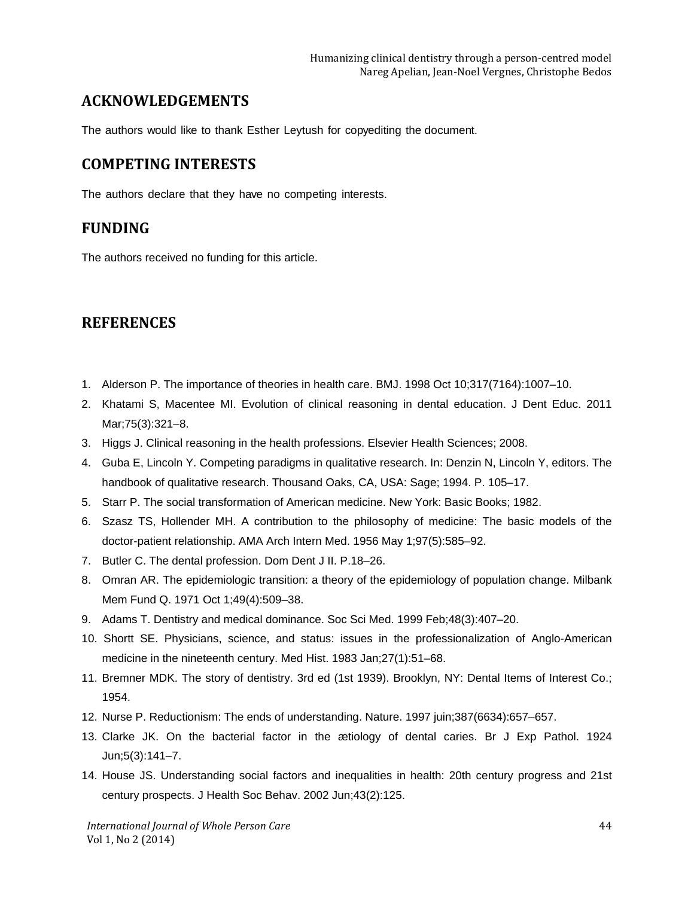## **ACKNOWLEDGEMENTS**

The authors would like to thank Esther Leytush for copyediting the document.

## **COMPETING INTERESTS**

The authors declare that they have no competing interests.

#### **FUNDING**

The authors received no funding for this article.

## **REFERENCES**

- 1. Alderson P. The importance of theories in health care. BMJ. 1998 Oct 10;317(7164):1007–10.
- 2. Khatami S, Macentee MI. Evolution of clinical reasoning in dental education. J Dent Educ. 2011 Mar;75(3):321–8.
- 3. Higgs J. Clinical reasoning in the health professions. Elsevier Health Sciences; 2008.
- 4. Guba E, Lincoln Y. Competing paradigms in qualitative research. In: Denzin N, Lincoln Y, editors. The handbook of qualitative research. Thousand Oaks, CA, USA: Sage; 1994. P. 105–17.
- 5. Starr P. The social transformation of American medicine. New York: Basic Books; 1982.
- 6. Szasz TS, Hollender MH. A contribution to the philosophy of medicine: The basic models of the doctor-patient relationship. AMA Arch Intern Med. 1956 May 1;97(5):585–92.
- 7. Butler C. The dental profession. Dom Dent J II. P.18–26.
- 8. Omran AR. The epidemiologic transition: a theory of the epidemiology of population change. Milbank Mem Fund Q. 1971 Oct 1;49(4):509–38.
- 9. Adams T. Dentistry and medical dominance. Soc Sci Med. 1999 Feb;48(3):407–20.
- 10. Shortt SE. Physicians, science, and status: issues in the professionalization of Anglo-American medicine in the nineteenth century. Med Hist. 1983 Jan;27(1):51–68.
- 11. Bremner MDK. The story of dentistry. 3rd ed (1st 1939). Brooklyn, NY: Dental Items of Interest Co.; 1954.
- 12. Nurse P. Reductionism: The ends of understanding. Nature. 1997 juin;387(6634):657–657.
- 13. Clarke JK. On the bacterial factor in the ætiology of dental caries. Br J Exp Pathol. 1924 Jun;5(3):141–7.
- 14. House JS. Understanding social factors and inequalities in health: 20th century progress and 21st century prospects. J Health Soc Behav. 2002 Jun;43(2):125.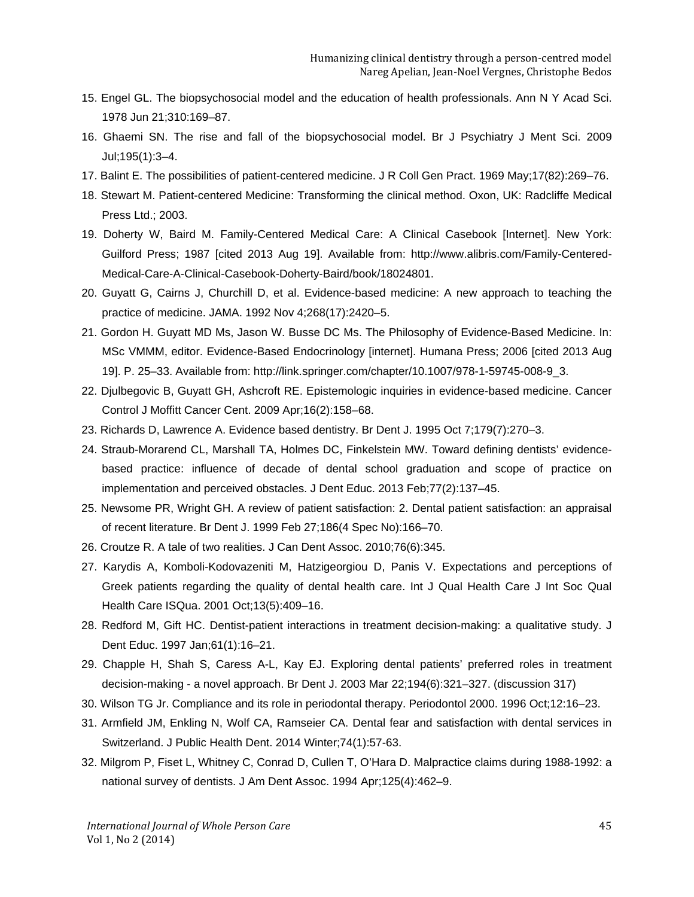- 15. Engel GL. The biopsychosocial model and the education of health professionals. Ann N Y Acad Sci. 1978 Jun 21;310:169–87.
- 16. Ghaemi SN. The rise and fall of the biopsychosocial model. Br J Psychiatry J Ment Sci. 2009 Jul;195(1):3–4.
- 17. Balint E. The possibilities of patient-centered medicine. J R Coll Gen Pract. 1969 May;17(82):269–76.
- 18. Stewart M. Patient-centered Medicine: Transforming the clinical method. Oxon, UK: Radcliffe Medical Press Ltd.; 2003.
- 19. Doherty W, Baird M. Family-Centered Medical Care: A Clinical Casebook [Internet]. New York: Guilford Press; 1987 [cited 2013 Aug 19]. Available from: http://www.alibris.com/Family-Centered-Medical-Care-A-Clinical-Casebook-Doherty-Baird/book/18024801.
- 20. Guyatt G, Cairns J, Churchill D, et al. Evidence-based medicine: A new approach to teaching the practice of medicine. JAMA. 1992 Nov 4;268(17):2420–5.
- 21. Gordon H. Guyatt MD Ms, Jason W. Busse DC Ms. The Philosophy of Evidence-Based Medicine. In: MSc VMMM, editor. Evidence-Based Endocrinology [internet]. Humana Press; 2006 [cited 2013 Aug 19]. P. 25–33. Available from: http://link.springer.com/chapter/10.1007/978-1-59745-008-9\_3.
- 22. Djulbegovic B, Guyatt GH, Ashcroft RE. Epistemologic inquiries in evidence-based medicine. Cancer Control J Moffitt Cancer Cent. 2009 Apr;16(2):158–68.
- 23. Richards D, Lawrence A. Evidence based dentistry. Br Dent J. 1995 Oct 7;179(7):270–3.
- 24. Straub-Morarend CL, Marshall TA, Holmes DC, Finkelstein MW. Toward defining dentists' evidencebased practice: influence of decade of dental school graduation and scope of practice on implementation and perceived obstacles. J Dent Educ. 2013 Feb;77(2):137–45.
- 25. Newsome PR, Wright GH. A review of patient satisfaction: 2. Dental patient satisfaction: an appraisal of recent literature. Br Dent J. 1999 Feb 27;186(4 Spec No):166–70.
- 26. Croutze R. A tale of two realities. J Can Dent Assoc. 2010;76(6):345.
- 27. Karydis A, Komboli-Kodovazeniti M, Hatzigeorgiou D, Panis V. Expectations and perceptions of Greek patients regarding the quality of dental health care. Int J Qual Health Care J Int Soc Qual Health Care ISQua. 2001 Oct;13(5):409–16.
- 28. Redford M, Gift HC. Dentist-patient interactions in treatment decision-making: a qualitative study. J Dent Educ. 1997 Jan;61(1):16–21.
- 29. Chapple H, Shah S, Caress A-L, Kay EJ. Exploring dental patients' preferred roles in treatment decision-making - a novel approach. Br Dent J. 2003 Mar 22;194(6):321–327. (discussion 317)
- 30. Wilson TG Jr. Compliance and its role in periodontal therapy. Periodontol 2000. 1996 Oct;12:16–23.
- 31. Armfield JM, Enkling N, Wolf CA, Ramseier CA. Dental fear and satisfaction with dental services in Switzerland. J Public Health Dent. 2014 Winter;74(1):57-63.
- 32. Milgrom P, Fiset L, Whitney C, Conrad D, Cullen T, O'Hara D. Malpractice claims during 1988-1992: a national survey of dentists. J Am Dent Assoc. 1994 Apr;125(4):462–9.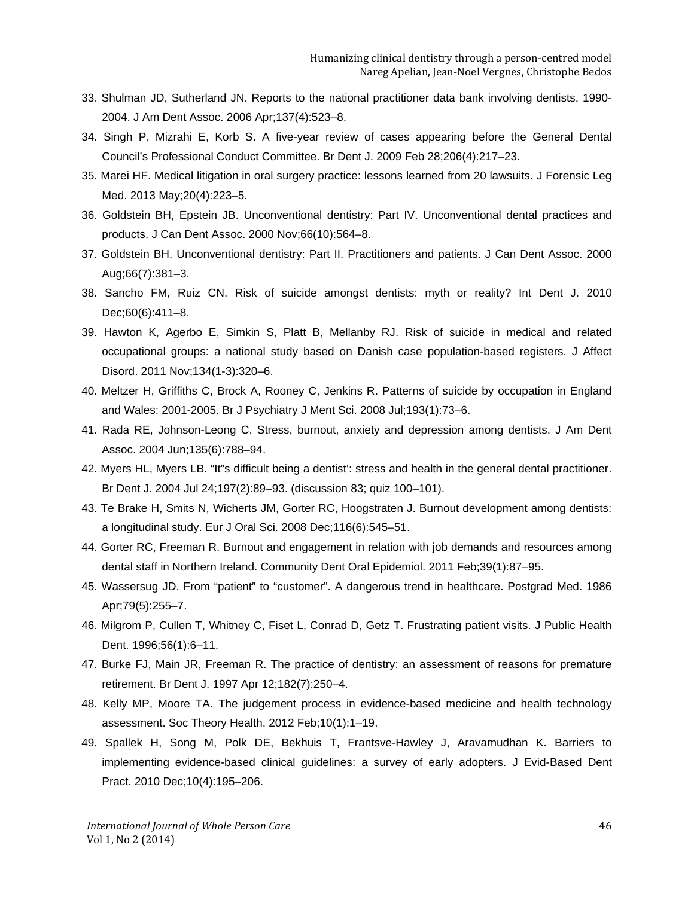- 33. Shulman JD, Sutherland JN. Reports to the national practitioner data bank involving dentists, 1990- 2004. J Am Dent Assoc. 2006 Apr;137(4):523–8.
- 34. Singh P, Mizrahi E, Korb S. A five-year review of cases appearing before the General Dental Council's Professional Conduct Committee. Br Dent J. 2009 Feb 28;206(4):217–23.
- 35. Marei HF. Medical litigation in oral surgery practice: lessons learned from 20 lawsuits. J Forensic Leg Med. 2013 May;20(4):223–5.
- 36. Goldstein BH, Epstein JB. Unconventional dentistry: Part IV. Unconventional dental practices and products. J Can Dent Assoc. 2000 Nov;66(10):564–8.
- 37. Goldstein BH. Unconventional dentistry: Part II. Practitioners and patients. J Can Dent Assoc. 2000 Aug;66(7):381–3.
- 38. Sancho FM, Ruiz CN. Risk of suicide amongst dentists: myth or reality? Int Dent J. 2010 Dec;60(6):411–8.
- 39. Hawton K, Agerbo E, Simkin S, Platt B, Mellanby RJ. Risk of suicide in medical and related occupational groups: a national study based on Danish case population-based registers. J Affect Disord. 2011 Nov;134(1-3):320–6.
- 40. Meltzer H, Griffiths C, Brock A, Rooney C, Jenkins R. Patterns of suicide by occupation in England and Wales: 2001-2005. Br J Psychiatry J Ment Sci. 2008 Jul;193(1):73–6.
- 41. Rada RE, Johnson-Leong C. Stress, burnout, anxiety and depression among dentists. J Am Dent Assoc. 2004 Jun;135(6):788–94.
- 42. Myers HL, Myers LB. "It"s difficult being a dentist': stress and health in the general dental practitioner. Br Dent J. 2004 Jul 24;197(2):89–93. (discussion 83; quiz 100–101).
- 43. Te Brake H, Smits N, Wicherts JM, Gorter RC, Hoogstraten J. Burnout development among dentists: a longitudinal study. Eur J Oral Sci. 2008 Dec;116(6):545–51.
- 44. Gorter RC, Freeman R. Burnout and engagement in relation with job demands and resources among dental staff in Northern Ireland. Community Dent Oral Epidemiol. 2011 Feb;39(1):87–95.
- 45. Wassersug JD. From "patient" to "customer". A dangerous trend in healthcare. Postgrad Med. 1986 Apr;79(5):255–7.
- 46. Milgrom P, Cullen T, Whitney C, Fiset L, Conrad D, Getz T. Frustrating patient visits. J Public Health Dent. 1996;56(1):6–11.
- 47. Burke FJ, Main JR, Freeman R. The practice of dentistry: an assessment of reasons for premature retirement. Br Dent J. 1997 Apr 12;182(7):250–4.
- 48. Kelly MP, Moore TA. The judgement process in evidence-based medicine and health technology assessment. Soc Theory Health. 2012 Feb;10(1):1–19.
- 49. Spallek H, Song M, Polk DE, Bekhuis T, Frantsve-Hawley J, Aravamudhan K. Barriers to implementing evidence-based clinical guidelines: a survey of early adopters. J Evid-Based Dent Pract. 2010 Dec;10(4):195–206.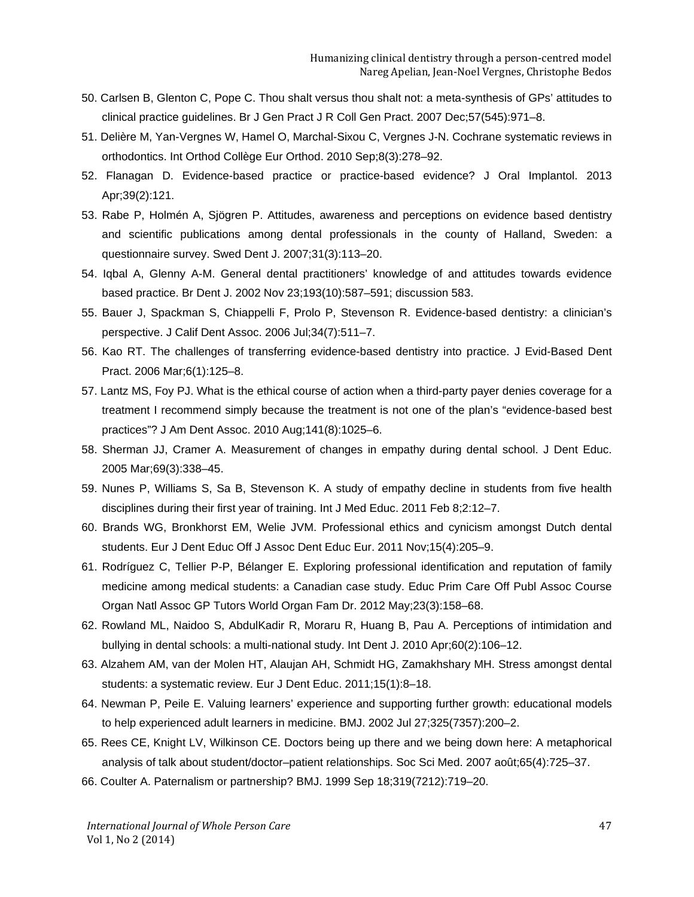- 50. Carlsen B, Glenton C, Pope C. Thou shalt versus thou shalt not: a meta-synthesis of GPs' attitudes to clinical practice guidelines. Br J Gen Pract J R Coll Gen Pract. 2007 Dec;57(545):971–8.
- 51. Delière M, Yan-Vergnes W, Hamel O, Marchal-Sixou C, Vergnes J-N. Cochrane systematic reviews in orthodontics. Int Orthod Collège Eur Orthod. 2010 Sep;8(3):278–92.
- 52. Flanagan D. Evidence-based practice or practice-based evidence? J Oral Implantol. 2013 Apr;39(2):121.
- 53. Rabe P, Holmén A, Sjögren P. Attitudes, awareness and perceptions on evidence based dentistry and scientific publications among dental professionals in the county of Halland, Sweden: a questionnaire survey. Swed Dent J. 2007;31(3):113–20.
- 54. Iqbal A, Glenny A-M. General dental practitioners' knowledge of and attitudes towards evidence based practice. Br Dent J. 2002 Nov 23;193(10):587–591; discussion 583.
- 55. Bauer J, Spackman S, Chiappelli F, Prolo P, Stevenson R. Evidence-based dentistry: a clinician's perspective. J Calif Dent Assoc. 2006 Jul;34(7):511–7.
- 56. Kao RT. The challenges of transferring evidence-based dentistry into practice. J Evid-Based Dent Pract. 2006 Mar;6(1):125–8.
- 57. Lantz MS, Foy PJ. What is the ethical course of action when a third-party payer denies coverage for a treatment I recommend simply because the treatment is not one of the plan's "evidence-based best practices"? J Am Dent Assoc. 2010 Aug;141(8):1025–6.
- 58. Sherman JJ, Cramer A. Measurement of changes in empathy during dental school. J Dent Educ. 2005 Mar;69(3):338–45.
- 59. Nunes P, Williams S, Sa B, Stevenson K. A study of empathy decline in students from five health disciplines during their first year of training. Int J Med Educ. 2011 Feb 8;2:12–7.
- 60. Brands WG, Bronkhorst EM, Welie JVM. Professional ethics and cynicism amongst Dutch dental students. Eur J Dent Educ Off J Assoc Dent Educ Eur. 2011 Nov;15(4):205–9.
- 61. Rodríguez C, Tellier P-P, Bélanger E. Exploring professional identification and reputation of family medicine among medical students: a Canadian case study. Educ Prim Care Off Publ Assoc Course Organ Natl Assoc GP Tutors World Organ Fam Dr. 2012 May;23(3):158–68.
- 62. Rowland ML, Naidoo S, AbdulKadir R, Moraru R, Huang B, Pau A. Perceptions of intimidation and bullying in dental schools: a multi-national study. Int Dent J. 2010 Apr;60(2):106–12.
- 63. Alzahem AM, van der Molen HT, Alaujan AH, Schmidt HG, Zamakhshary MH. Stress amongst dental students: a systematic review. Eur J Dent Educ. 2011;15(1):8–18.
- 64. Newman P, Peile E. Valuing learners' experience and supporting further growth: educational models to help experienced adult learners in medicine. BMJ. 2002 Jul 27;325(7357):200–2.
- 65. Rees CE, Knight LV, Wilkinson CE. Doctors being up there and we being down here: A metaphorical analysis of talk about student/doctor–patient relationships. Soc Sci Med. 2007 août;65(4):725–37.
- 66. Coulter A. Paternalism or partnership? BMJ. 1999 Sep 18;319(7212):719–20.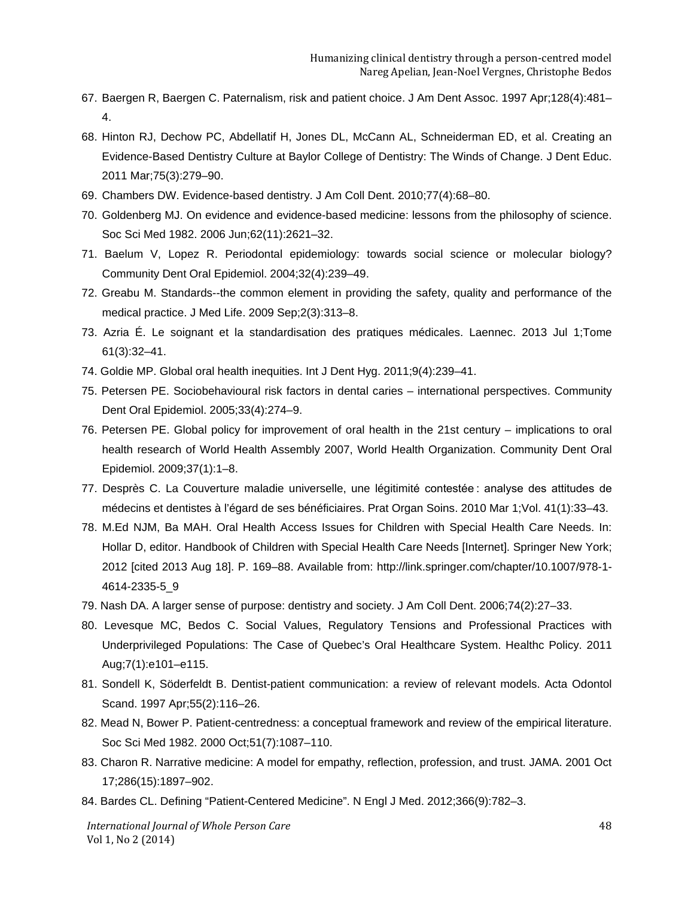- 67. Baergen R, Baergen C. Paternalism, risk and patient choice. J Am Dent Assoc. 1997 Apr;128(4):481– 4.
- 68. Hinton RJ, Dechow PC, Abdellatif H, Jones DL, McCann AL, Schneiderman ED, et al. Creating an Evidence-Based Dentistry Culture at Baylor College of Dentistry: The Winds of Change. J Dent Educ. 2011 Mar;75(3):279–90.
- 69. Chambers DW. Evidence-based dentistry. J Am Coll Dent. 2010;77(4):68–80.
- 70. Goldenberg MJ. On evidence and evidence-based medicine: lessons from the philosophy of science. Soc Sci Med 1982. 2006 Jun;62(11):2621–32.
- 71. Baelum V, Lopez R. Periodontal epidemiology: towards social science or molecular biology? Community Dent Oral Epidemiol. 2004;32(4):239–49.
- 72. Greabu M. Standards--the common element in providing the safety, quality and performance of the medical practice. J Med Life. 2009 Sep;2(3):313–8.
- 73. Azria É. Le soignant et la standardisation des pratiques médicales. Laennec. 2013 Jul 1;Tome 61(3):32–41.
- 74. Goldie MP. Global oral health inequities. Int J Dent Hyg. 2011;9(4):239–41.
- 75. Petersen PE. Sociobehavioural risk factors in dental caries international perspectives. Community Dent Oral Epidemiol. 2005;33(4):274–9.
- 76. Petersen PE. Global policy for improvement of oral health in the 21st century implications to oral health research of World Health Assembly 2007, World Health Organization. Community Dent Oral Epidemiol. 2009;37(1):1–8.
- 77. Desprès C. La Couverture maladie universelle, une légitimité contestée : analyse des attitudes de médecins et dentistes à l'égard de ses bénéficiaires. Prat Organ Soins. 2010 Mar 1;Vol. 41(1):33–43.
- 78. M.Ed NJM, Ba MAH. Oral Health Access Issues for Children with Special Health Care Needs. In: Hollar D, editor. Handbook of Children with Special Health Care Needs [Internet]. Springer New York; 2012 [cited 2013 Aug 18]. P. 169–88. Available from: http://link.springer.com/chapter/10.1007/978-1- 4614-2335-5\_9
- 79. Nash DA. A larger sense of purpose: dentistry and society. J Am Coll Dent. 2006;74(2):27–33.
- 80. Levesque MC, Bedos C. Social Values, Regulatory Tensions and Professional Practices with Underprivileged Populations: The Case of Quebec's Oral Healthcare System. Healthc Policy. 2011 Aug;7(1):e101–e115.
- 81. Sondell K, Söderfeldt B. Dentist-patient communication: a review of relevant models. Acta Odontol Scand. 1997 Apr;55(2):116–26.
- 82. Mead N, Bower P. Patient-centredness: a conceptual framework and review of the empirical literature. Soc Sci Med 1982. 2000 Oct;51(7):1087–110.
- 83. Charon R. Narrative medicine: A model for empathy, reflection, profession, and trust. JAMA. 2001 Oct 17;286(15):1897–902.
- 84. Bardes CL. Defining "Patient-Centered Medicine". N Engl J Med. 2012;366(9):782–3.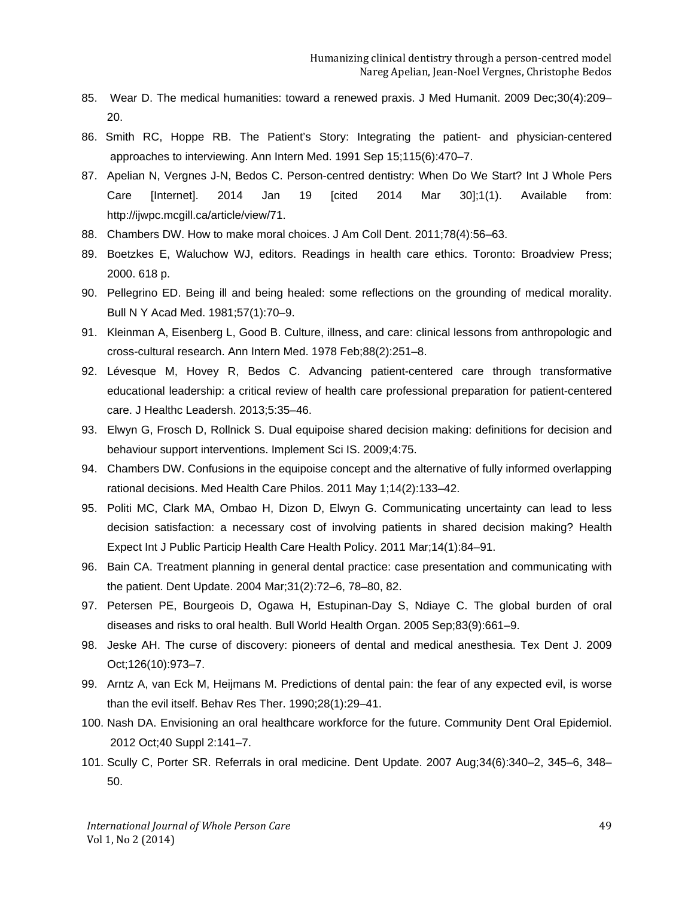- 85. Wear D. The medical humanities: toward a renewed praxis. J Med Humanit. 2009 Dec;30(4):209– 20.
- 86. Smith RC, Hoppe RB. The Patient's Story: Integrating the patient- and physician-centered approaches to interviewing. Ann Intern Med. 1991 Sep 15;115(6):470–7.
- 87. Apelian N, Vergnes J-N, Bedos C. Person-centred dentistry: When Do We Start? Int J Whole Pers Care [Internet]. 2014 Jan 19 [cited 2014 Mar 30];1(1). Available from: http://ijwpc.mcgill.ca/article/view/71.
- 88. Chambers DW. How to make moral choices. J Am Coll Dent. 2011;78(4):56–63.
- 89. Boetzkes E, Waluchow WJ, editors. Readings in health care ethics. Toronto: Broadview Press; 2000. 618 p.
- 90. Pellegrino ED. Being ill and being healed: some reflections on the grounding of medical morality. Bull N Y Acad Med. 1981;57(1):70–9.
- 91. Kleinman A, Eisenberg L, Good B. Culture, illness, and care: clinical lessons from anthropologic and cross-cultural research. Ann Intern Med. 1978 Feb;88(2):251–8.
- 92. Lévesque M, Hovey R, Bedos C. Advancing patient-centered care through transformative educational leadership: a critical review of health care professional preparation for patient-centered care. J Healthc Leadersh. 2013;5:35–46.
- 93. Elwyn G, Frosch D, Rollnick S. Dual equipoise shared decision making: definitions for decision and behaviour support interventions. Implement Sci IS. 2009;4:75.
- 94. Chambers DW. Confusions in the equipoise concept and the alternative of fully informed overlapping rational decisions. Med Health Care Philos. 2011 May 1;14(2):133–42.
- 95. Politi MC, Clark MA, Ombao H, Dizon D, Elwyn G. Communicating uncertainty can lead to less decision satisfaction: a necessary cost of involving patients in shared decision making? Health Expect Int J Public Particip Health Care Health Policy. 2011 Mar;14(1):84–91.
- 96. Bain CA. Treatment planning in general dental practice: case presentation and communicating with the patient. Dent Update. 2004 Mar;31(2):72–6, 78–80, 82.
- 97. Petersen PE, Bourgeois D, Ogawa H, Estupinan-Day S, Ndiaye C. The global burden of oral diseases and risks to oral health. Bull World Health Organ. 2005 Sep;83(9):661–9.
- 98. Jeske AH. The curse of discovery: pioneers of dental and medical anesthesia. Tex Dent J. 2009 Oct;126(10):973–7.
- 99. Arntz A, van Eck M, Heijmans M. Predictions of dental pain: the fear of any expected evil, is worse than the evil itself. Behav Res Ther. 1990;28(1):29–41.
- 100. Nash DA. Envisioning an oral healthcare workforce for the future. Community Dent Oral Epidemiol. 2012 Oct;40 Suppl 2:141–7.
- 101. Scully C, Porter SR. Referrals in oral medicine. Dent Update. 2007 Aug;34(6):340–2, 345–6, 348– 50.